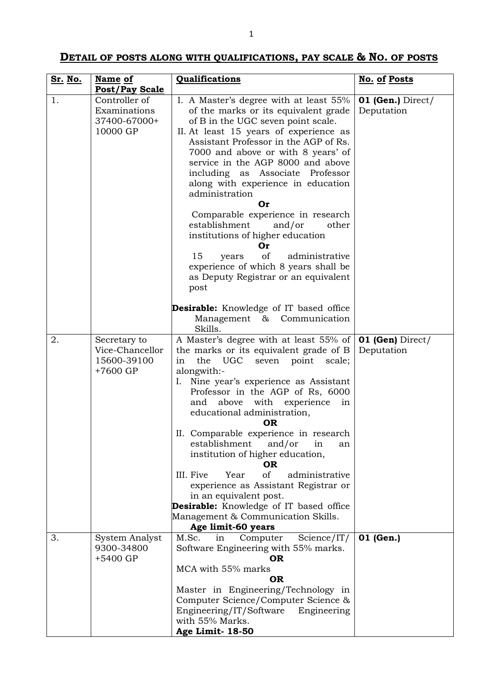## **DETAIL OF POSTS ALONG WITH QUALIFICATIONS, PAY SCALE & NO. OF POSTS**

| Sr. No. | Name of                                                    | Qualifications                                                                                                                                                                                                                                                                                                                                                                                                                                                                                                                                                                                                                                                                                     | <b>No. of Posts</b>               |
|---------|------------------------------------------------------------|----------------------------------------------------------------------------------------------------------------------------------------------------------------------------------------------------------------------------------------------------------------------------------------------------------------------------------------------------------------------------------------------------------------------------------------------------------------------------------------------------------------------------------------------------------------------------------------------------------------------------------------------------------------------------------------------------|-----------------------------------|
|         | <b>Post/Pay Scale</b>                                      |                                                                                                                                                                                                                                                                                                                                                                                                                                                                                                                                                                                                                                                                                                    |                                   |
| 1.      | Controller of<br>Examinations<br>37400-67000+<br>10000 GP  | I. A Master's degree with at least 55%<br>of the marks or its equivalent grade<br>of B in the UGC seven point scale.<br>II. At least 15 years of experience as<br>Assistant Professor in the AGP of Rs.<br>7000 and above or with 8 years' of<br>service in the AGP 8000 and above<br>including as Associate<br>Professor<br>along with experience in education<br>administration<br><b>Or</b><br>Comparable experience in research<br>establishment<br>and/or<br>other<br>institutions of higher education<br>Or<br>of<br>15<br>administrative<br>years<br>experience of which 8 years shall be<br>as Deputy Registrar or an equivalent<br>post<br><b>Desirable:</b> Knowledge of IT based office | $01$ (Gen.) Direct/<br>Deputation |
|         |                                                            | Management & Communication<br>Skills.                                                                                                                                                                                                                                                                                                                                                                                                                                                                                                                                                                                                                                                              |                                   |
| 2.      | Secretary to<br>Vice-Chancellor<br>15600-39100<br>+7600 GP | A Master's degree with at least 55% of<br>the marks or its equivalent grade of B<br>the<br>UGC<br>seven<br>point<br>scale;<br>in<br>alongwith:-<br>Nine year's experience as Assistant<br>Ι.<br>Professor in the AGP of Rs, 6000<br>and above with experience<br>in<br>educational administration,<br><b>OR</b><br>II. Comparable experience in research<br>establishment<br>and/or<br>in<br>an<br>institution of higher education,<br><b>OR</b><br>of<br>III. Five<br>Year<br>administrative<br>experience as Assistant Registrar or<br>in an equivalent post.<br><b>Desirable:</b> Knowledge of IT based office<br>Management & Communication Skills.<br>Age limit-60 years                      | $01$ (Gen) Direct/<br>Deputation  |
| 3.      | System Analyst                                             | Science/IT/<br>M.Sc.<br>in<br>Computer                                                                                                                                                                                                                                                                                                                                                                                                                                                                                                                                                                                                                                                             | 01 (Gen.)                         |
|         | 9300-34800<br>+5400 GP                                     | Software Engineering with 55% marks.<br><b>OR</b><br>MCA with 55% marks<br><b>OR</b><br>Master in Engineering/Technology in<br>Computer Science/Computer Science &<br>Engineering/IT/Software<br>Engineering<br>with 55% Marks.<br>Age Limit- 18-50                                                                                                                                                                                                                                                                                                                                                                                                                                                |                                   |